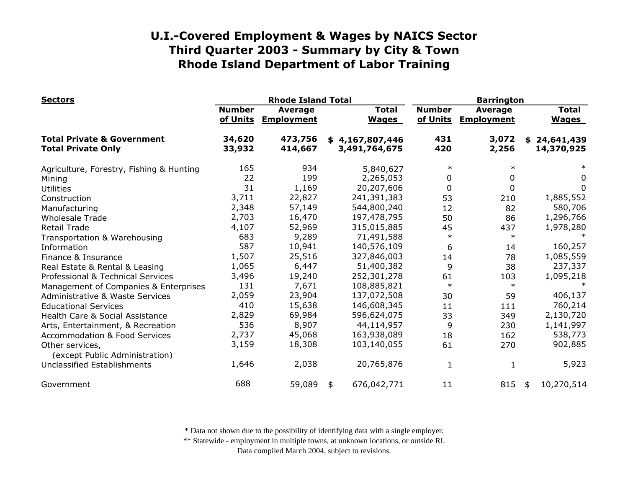| <b>Sectors</b>                                                     | <b>Rhode Island Total</b> |                              |                                  |                              | <b>Barrington</b>         |                                     |    |                              |
|--------------------------------------------------------------------|---------------------------|------------------------------|----------------------------------|------------------------------|---------------------------|-------------------------------------|----|------------------------------|
|                                                                    | <b>Number</b><br>of Units | Average<br><b>Employment</b> |                                  | <b>Total</b><br><b>Wages</b> | <b>Number</b><br>of Units | <b>Average</b><br><b>Employment</b> |    | <b>Total</b><br><b>Wages</b> |
| <b>Total Private &amp; Government</b><br><b>Total Private Only</b> | 34,620<br>33,932          | 473,756<br>414,667           | \$4,167,807,446<br>3,491,764,675 |                              | 431<br>420                | 3,072<br>2,256                      | \$ | 24,641,439<br>14,370,925     |
| Agriculture, Forestry, Fishing & Hunting                           | 165                       | 934                          |                                  | 5,840,627                    | $\ast$                    | $\ast$                              |    |                              |
| Mining                                                             | 22                        | 199                          |                                  | 2,265,053                    | 0                         | 0                                   |    | 0                            |
| <b>Utilities</b>                                                   | 31                        | 1,169                        |                                  | 20,207,606                   | 0                         | 0                                   |    | 0                            |
| Construction                                                       | 3,711                     | 22,827                       |                                  | 241,391,383                  | 53                        | 210                                 |    | 1,885,552                    |
| Manufacturing                                                      | 2,348                     | 57,149                       |                                  | 544,800,240                  | 12                        | 82                                  |    | 580,706                      |
| <b>Wholesale Trade</b>                                             | 2,703                     | 16,470                       |                                  | 197,478,795                  | 50                        | 86                                  |    | 1,296,766                    |
| <b>Retail Trade</b>                                                | 4,107                     | 52,969                       |                                  | 315,015,885                  | 45                        | 437                                 |    | 1,978,280                    |
| Transportation & Warehousing                                       | 683                       | 9,289                        |                                  | 71,491,588                   | $\ast$                    | $\ast$                              |    |                              |
| Information                                                        | 587                       | 10,941                       |                                  | 140,576,109                  | 6                         | 14                                  |    | 160,257                      |
| Finance & Insurance                                                | 1,507                     | 25,516                       |                                  | 327,846,003                  | 14                        | 78                                  |    | 1,085,559                    |
| Real Estate & Rental & Leasing                                     | 1,065                     | 6,447                        |                                  | 51,400,382                   | 9                         | 38                                  |    | 237,337                      |
| Professional & Technical Services                                  | 3,496                     | 19,240                       |                                  | 252,301,278                  | 61                        | 103                                 |    | 1,095,218                    |
| Management of Companies & Enterprises                              | 131                       | 7,671                        |                                  | 108,885,821                  | $\ast$                    | $\ast$                              |    |                              |
| <b>Administrative &amp; Waste Services</b>                         | 2,059                     | 23,904                       |                                  | 137,072,508                  | 30                        | 59                                  |    | 406,137                      |
| <b>Educational Services</b>                                        | 410                       | 15,638                       |                                  | 146,608,345                  | 11                        | 111                                 |    | 760,214                      |
| Health Care & Social Assistance                                    | 2,829                     | 69,984                       |                                  | 596,624,075                  | 33                        | 349                                 |    | 2,130,720                    |
| Arts, Entertainment, & Recreation                                  | 536                       | 8,907                        |                                  | 44,114,957                   | 9                         | 230                                 |    | 1,141,997                    |
| <b>Accommodation &amp; Food Services</b>                           | 2,737                     | 45,068                       |                                  | 163,938,089                  | 18                        | 162                                 |    | 538,773                      |
| Other services,<br>(except Public Administration)                  | 3,159                     | 18,308                       |                                  | 103,140,055                  | 61                        | 270                                 |    | 902,885                      |
| Unclassified Establishments                                        | 1,646                     | 2,038                        |                                  | 20,765,876                   | 1                         | 1                                   |    | 5,923                        |
| Government                                                         | 688                       | 59,089                       | \$                               | 676,042,771                  | 11                        | 815                                 | \$ | 10,270,514                   |

\* Data not shown due to the possibility of identifying data with a single employer.

\*\* Statewide - employment in multiple towns, at unknown locations, or outside RI.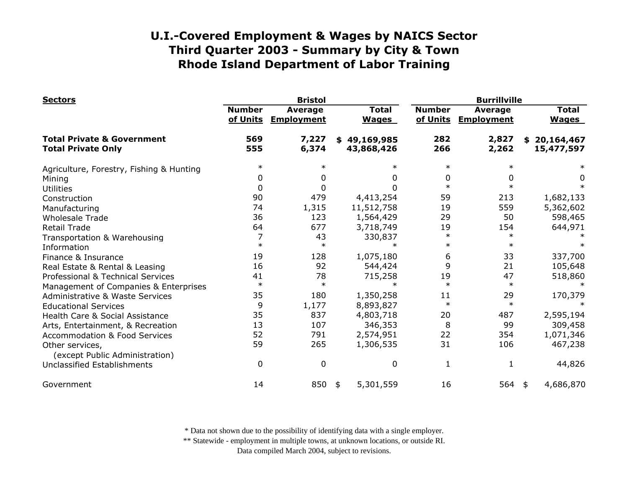| <b>Sectors</b>                                                     |                           | <b>Bristol</b>                      |                              | <b>Burrillville</b>       |                                     |                                |                              |
|--------------------------------------------------------------------|---------------------------|-------------------------------------|------------------------------|---------------------------|-------------------------------------|--------------------------------|------------------------------|
|                                                                    | <b>Number</b><br>of Units | <b>Average</b><br><b>Employment</b> | <b>Total</b><br><b>Wages</b> | <b>Number</b><br>of Units | <b>Average</b><br><b>Employment</b> |                                | <b>Total</b><br><b>Wages</b> |
| <b>Total Private &amp; Government</b><br><b>Total Private Only</b> | 569<br>555                | 7,227<br>6,374                      | \$49,169,985<br>43,868,426   | 282<br>266                | 2,827<br>2,262                      | 20,164,467<br>\$<br>15,477,597 |                              |
| Agriculture, Forestry, Fishing & Hunting                           | $\ast$                    |                                     | $\ast$                       | $\ast$                    | $\ast$                              |                                |                              |
| Mining                                                             | 0                         |                                     | O                            | 0                         | 0                                   |                                | 0                            |
| <b>Utilities</b>                                                   | 0                         |                                     | 0                            | $\ast$                    | $\ast$                              |                                | $\ast$                       |
| Construction                                                       | 90                        | 479                                 | 4,413,254                    | 59                        | 213                                 | 1,682,133                      |                              |
| Manufacturing                                                      | 74                        | 1,315                               | 11,512,758                   | 19                        | 559                                 | 5,362,602                      |                              |
| <b>Wholesale Trade</b>                                             | 36                        | 123                                 | 1,564,429                    | 29                        | 50                                  |                                | 598,465                      |
| <b>Retail Trade</b>                                                | 64                        | 677                                 | 3,718,749                    | 19                        | 154                                 |                                | 644,971                      |
| Transportation & Warehousing                                       | 7                         | 43                                  | 330,837                      | $\ast$                    | $\ast$                              |                                |                              |
| Information                                                        | $\ast$                    | $\ast$                              | ж                            | $\ast$                    | $\ast$                              |                                |                              |
| Finance & Insurance                                                | 19                        | 128                                 | 1,075,180                    | 6                         | 33                                  |                                | 337,700                      |
| Real Estate & Rental & Leasing                                     | 16                        | 92                                  | 544,424                      | 9                         | 21                                  |                                | 105,648                      |
| Professional & Technical Services                                  | 41                        | 78                                  | 715,258                      | 19                        | 47                                  |                                | 518,860                      |
| Management of Companies & Enterprises                              | $\ast$                    | $\ast$                              |                              | $\ast$                    | $\ast$                              |                                |                              |
| <b>Administrative &amp; Waste Services</b>                         | 35                        | 180                                 | 1,350,258                    | 11                        | 29                                  |                                | 170,379                      |
| <b>Educational Services</b>                                        | 9                         | 1,177                               | 8,893,827                    | $\ast$                    | $\ast$                              |                                |                              |
| Health Care & Social Assistance                                    | 35                        | 837                                 | 4,803,718                    | 20                        | 487                                 | 2,595,194                      |                              |
| Arts, Entertainment, & Recreation                                  | 13                        | 107                                 | 346,353                      | 8                         | 99                                  |                                | 309,458                      |
| <b>Accommodation &amp; Food Services</b>                           | 52                        | 791                                 | 2,574,951                    | 22                        | 354                                 | 1,071,346                      |                              |
| Other services,<br>(except Public Administration)                  | 59                        | 265                                 | 1,306,535                    | 31                        | 106                                 |                                | 467,238                      |
| Unclassified Establishments                                        | 0                         | 0                                   | $\mathbf 0$                  | 1                         | 1                                   |                                | 44,826                       |
| Government                                                         | 14                        | 850                                 | 5,301,559<br>\$              | 16                        | 564 \$                              |                                | 4,686,870                    |

\* Data not shown due to the possibility of identifying data with a single employer.

\*\* Statewide - employment in multiple towns, at unknown locations, or outside RI.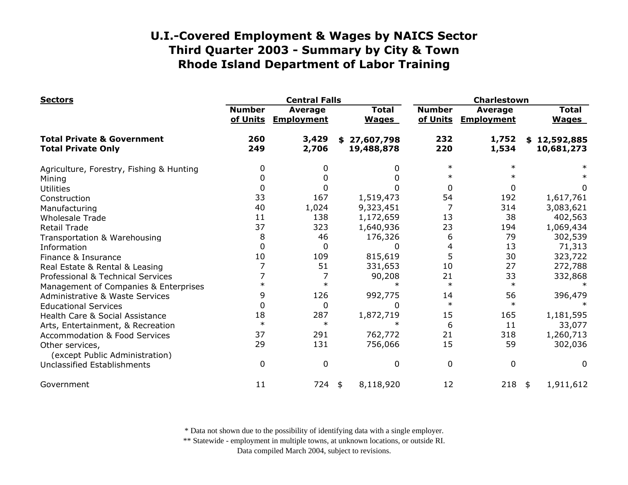| <b>Sectors</b>                                                     |                           | <b>Central Falls</b>         |                              | Charlestown               |                                     |                              |  |
|--------------------------------------------------------------------|---------------------------|------------------------------|------------------------------|---------------------------|-------------------------------------|------------------------------|--|
|                                                                    | <b>Number</b><br>of Units | Average<br><b>Employment</b> | <b>Total</b><br><b>Wages</b> | <b>Number</b><br>of Units | <b>Average</b><br><b>Employment</b> | <b>Total</b><br><b>Wages</b> |  |
| <b>Total Private &amp; Government</b><br><b>Total Private Only</b> | 260<br>249                | 3,429<br>2,706               | \$27,607,798<br>19,488,878   | 232<br>220                | 1,752<br>1,534                      | \$12,592,885<br>10,681,273   |  |
| Agriculture, Forestry, Fishing & Hunting                           | 0                         |                              | 0                            | $\ast$                    | $\ast$                              |                              |  |
| Mining                                                             | 0                         |                              | 0                            |                           |                                     |                              |  |
| <b>Utilities</b>                                                   | 0                         |                              | 0                            | $\mathbf{0}$              | 0                                   | 0                            |  |
| Construction                                                       | 33                        | 167                          | 1,519,473                    | 54                        | 192                                 | 1,617,761                    |  |
| Manufacturing                                                      | 40                        | 1,024                        | 9,323,451                    |                           | 314                                 | 3,083,621                    |  |
| <b>Wholesale Trade</b>                                             | 11                        | 138                          | 1,172,659                    | 13                        | 38                                  | 402,563                      |  |
| <b>Retail Trade</b>                                                | 37                        | 323                          | 1,640,936                    | 23                        | 194                                 | 1,069,434                    |  |
| Transportation & Warehousing                                       | 8                         | 46                           | 176,326                      | 6                         | 79                                  | 302,539                      |  |
| Information                                                        | $\Omega$                  | 0                            | O                            | 4                         | 13                                  | 71,313                       |  |
| Finance & Insurance                                                | 10                        | 109                          | 815,619                      | 5                         | 30                                  | 323,722                      |  |
| Real Estate & Rental & Leasing                                     |                           | 51                           | 331,653                      | 10                        | 27                                  | 272,788                      |  |
| Professional & Technical Services                                  |                           |                              | 90,208                       | 21                        | 33                                  | 332,868                      |  |
| Management of Companies & Enterprises                              |                           | $\ast$                       |                              | $\ast$                    | $\ast$                              |                              |  |
| Administrative & Waste Services                                    | 9                         | 126                          | 992,775                      | 14                        | 56                                  | 396,479                      |  |
| <b>Educational Services</b>                                        | $\Omega$                  | $\mathbf{0}$                 | 0                            | $\ast$                    | $\ast$                              |                              |  |
| Health Care & Social Assistance                                    | 18                        | 287                          | 1,872,719                    | 15                        | 165                                 | 1,181,595                    |  |
| Arts, Entertainment, & Recreation                                  | $\ast$                    | $\ast$                       | $\ast$                       | 6                         | 11                                  | 33,077                       |  |
| <b>Accommodation &amp; Food Services</b>                           | 37                        | 291                          | 762,772                      | 21                        | 318                                 | 1,260,713                    |  |
| Other services,<br>(except Public Administration)                  | 29                        | 131                          | 756,066                      | 15                        | 59                                  | 302,036                      |  |
| Unclassified Establishments                                        | $\mathbf 0$               | $\Omega$                     | 0                            | 0                         | 0                                   | 0                            |  |
| Government                                                         | 11                        | 724                          | 8,118,920<br>\$              | 12                        | 218                                 | 1,911,612<br>\$              |  |

\* Data not shown due to the possibility of identifying data with a single employer.

\*\* Statewide - employment in multiple towns, at unknown locations, or outside RI.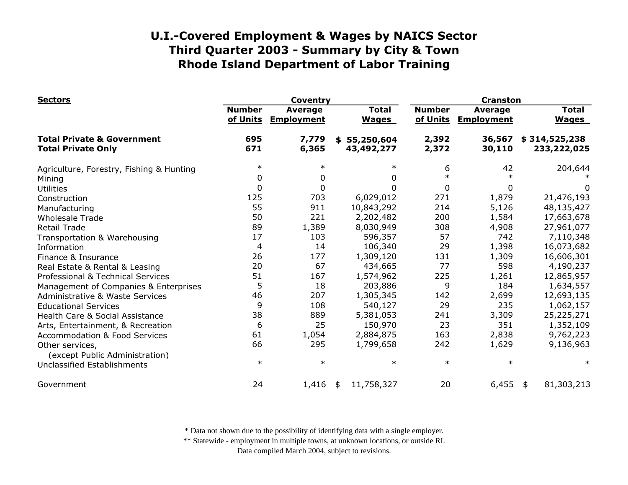| <b>Sectors</b>                                                     |                           | <b>Coventry</b>                     |                                | <b>Cranston</b>           |                                     |                              |  |
|--------------------------------------------------------------------|---------------------------|-------------------------------------|--------------------------------|---------------------------|-------------------------------------|------------------------------|--|
|                                                                    | <b>Number</b><br>of Units | <b>Average</b><br><b>Employment</b> | <b>Total</b><br><b>Wages</b>   | <b>Number</b><br>of Units | <b>Average</b><br><b>Employment</b> | <b>Total</b><br><b>Wages</b> |  |
| <b>Total Private &amp; Government</b><br><b>Total Private Only</b> | 695<br>671                | 7,779<br>6,365                      | 55,250,604<br>\$<br>43,492,277 | 2,392<br>2,372            | 36,567<br>30,110                    | \$314,525,238<br>233,222,025 |  |
| Agriculture, Forestry, Fishing & Hunting                           | $\ast$                    | $\ast$                              | $\ast$                         | 6                         | 42                                  | 204,644                      |  |
| Mining                                                             | 0                         | 0                                   | 0                              | $\ast$                    |                                     |                              |  |
| <b>Utilities</b>                                                   | 0                         | 0                                   | 0                              | 0                         | 0                                   | 0                            |  |
| Construction                                                       | 125                       | 703                                 | 6,029,012                      | 271                       | 1,879                               | 21,476,193                   |  |
| Manufacturing                                                      | 55                        | 911                                 | 10,843,292                     | 214                       | 5,126                               | 48,135,427                   |  |
| <b>Wholesale Trade</b>                                             | 50                        | 221                                 | 2,202,482                      | 200                       | 1,584                               | 17,663,678                   |  |
| <b>Retail Trade</b>                                                | 89                        | 1,389                               | 8,030,949                      | 308                       | 4,908                               | 27,961,077                   |  |
| Transportation & Warehousing                                       | 17                        | 103                                 | 596,357                        | 57                        | 742                                 | 7,110,348                    |  |
| Information                                                        | 4                         | 14                                  | 106,340                        | 29                        | 1,398                               | 16,073,682                   |  |
| Finance & Insurance                                                | 26                        | 177                                 | 1,309,120                      | 131                       | 1,309                               | 16,606,301                   |  |
| Real Estate & Rental & Leasing                                     | 20                        | 67                                  | 434,665                        | 77                        | 598                                 | 4,190,237                    |  |
| Professional & Technical Services                                  | 51                        | 167                                 | 1,574,962                      | 225                       | 1,261                               | 12,865,957                   |  |
| Management of Companies & Enterprises                              | 5                         | 18                                  | 203,886                        | 9                         | 184                                 | 1,634,557                    |  |
| <b>Administrative &amp; Waste Services</b>                         | 46                        | 207                                 | 1,305,345                      | 142                       | 2,699                               | 12,693,135                   |  |
| <b>Educational Services</b>                                        | 9                         | 108                                 | 540,127                        | 29                        | 235                                 | 1,062,157                    |  |
| Health Care & Social Assistance                                    | 38                        | 889                                 | 5,381,053                      | 241                       | 3,309                               | 25,225,271                   |  |
| Arts, Entertainment, & Recreation                                  | 6                         | 25                                  | 150,970                        | 23                        | 351                                 | 1,352,109                    |  |
| <b>Accommodation &amp; Food Services</b>                           | 61                        | 1,054                               | 2,884,875                      | 163                       | 2,838                               | 9,762,223                    |  |
| Other services,<br>(except Public Administration)                  | 66                        | 295                                 | 1,799,658                      | 242                       | 1,629                               | 9,136,963                    |  |
| Unclassified Establishments                                        | $\ast$                    | $\ast$                              | $\ast$                         | $\ast$                    | $\ast$                              | $\ast$                       |  |
| Government                                                         | 24                        | 1,416                               | 11,758,327<br>\$               | 20                        | 6,455                               | 81,303,213<br>-\$            |  |

\* Data not shown due to the possibility of identifying data with a single employer.

\*\* Statewide - employment in multiple towns, at unknown locations, or outside RI.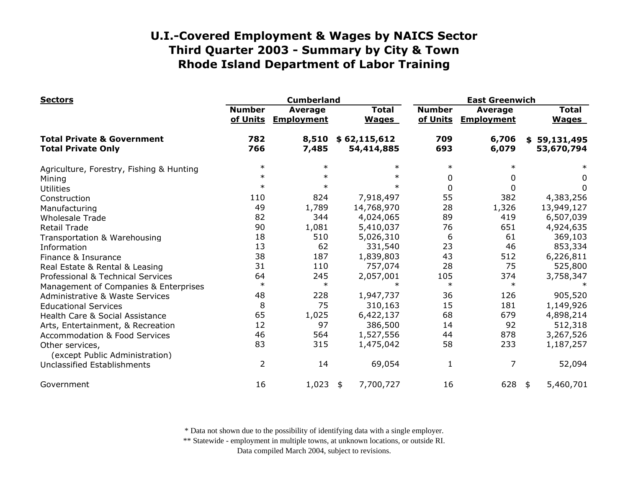| <b>Sectors</b>                                                     |                           | <b>Cumberland</b>                   |                              | <b>East Greenwich</b>     |                                     |                              |  |
|--------------------------------------------------------------------|---------------------------|-------------------------------------|------------------------------|---------------------------|-------------------------------------|------------------------------|--|
|                                                                    | <b>Number</b><br>of Units | <b>Average</b><br><b>Employment</b> | <b>Total</b><br><b>Wages</b> | <b>Number</b><br>of Units | <b>Average</b><br><b>Employment</b> | <b>Total</b><br><b>Wages</b> |  |
| <b>Total Private &amp; Government</b><br><b>Total Private Only</b> | 782<br>766                | 8,510<br>7,485                      | \$62,115,612<br>54,414,885   | 709<br>693                | 6,706<br>6,079                      | \$59,131,495<br>53,670,794   |  |
| Agriculture, Forestry, Fishing & Hunting                           | $\ast$                    | $\ast$                              | $\ast$                       | $\ast$                    | $\ast$                              |                              |  |
| Mining                                                             | $\ast$                    | $\ast$                              | $\ast$                       | 0                         | 0                                   | 0                            |  |
| <b>Utilities</b>                                                   | $\ast$                    | $\ast$                              | $\ast$                       | $\mathbf 0$               | 0                                   | 0                            |  |
| Construction                                                       | 110                       | 824                                 | 7,918,497                    | 55                        | 382                                 | 4,383,256                    |  |
| Manufacturing                                                      | 49                        | 1,789                               | 14,768,970                   | 28                        | 1,326                               | 13,949,127                   |  |
| <b>Wholesale Trade</b>                                             | 82                        | 344                                 | 4,024,065                    | 89                        | 419                                 | 6,507,039                    |  |
| <b>Retail Trade</b>                                                | 90                        | 1,081                               | 5,410,037                    | 76                        | 651                                 | 4,924,635                    |  |
| Transportation & Warehousing                                       | 18                        | 510                                 | 5,026,310                    | 6                         | 61                                  | 369,103                      |  |
| Information                                                        | 13                        | 62                                  | 331,540                      | 23                        | 46                                  | 853,334                      |  |
| Finance & Insurance                                                | 38                        | 187                                 | 1,839,803                    | 43                        | 512                                 | 6,226,811                    |  |
| Real Estate & Rental & Leasing                                     | 31                        | 110                                 | 757,074                      | 28                        | 75                                  | 525,800                      |  |
| Professional & Technical Services                                  | 64                        | 245                                 | 2,057,001                    | 105                       | 374                                 | 3,758,347                    |  |
| Management of Companies & Enterprises                              | $\ast$                    | $\ast$                              | $\ast$                       | $\ast$                    | $\ast$                              |                              |  |
| <b>Administrative &amp; Waste Services</b>                         | 48                        | 228                                 | 1,947,737                    | 36                        | 126                                 | 905,520                      |  |
| <b>Educational Services</b>                                        | 8                         | 75                                  | 310,163                      | 15                        | 181                                 | 1,149,926                    |  |
| Health Care & Social Assistance                                    | 65                        | 1,025                               | 6,422,137                    | 68                        | 679                                 | 4,898,214                    |  |
| Arts, Entertainment, & Recreation                                  | 12                        | 97                                  | 386,500                      | 14                        | 92                                  | 512,318                      |  |
| <b>Accommodation &amp; Food Services</b>                           | 46                        | 564                                 | 1,527,556                    | 44                        | 878                                 | 3,267,526                    |  |
| Other services,<br>(except Public Administration)                  | 83                        | 315                                 | 1,475,042                    | 58                        | 233                                 | 1,187,257                    |  |
| Unclassified Establishments                                        | $\overline{2}$            | 14                                  | 69,054                       | 1                         | 7                                   | 52,094                       |  |
| Government                                                         | 16                        | 1,023                               | 7,700,727<br>\$              | 16                        | 628                                 | 5,460,701<br>\$              |  |

\* Data not shown due to the possibility of identifying data with a single employer.

\*\* Statewide - employment in multiple towns, at unknown locations, or outside RI.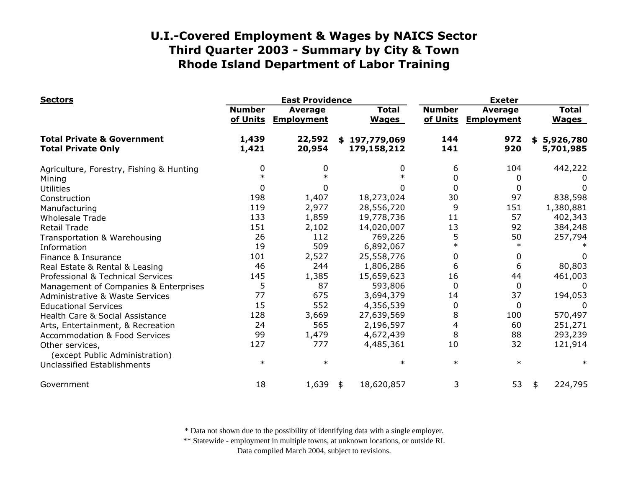| <b>Sectors</b>                                                     |                           | <b>East Providence</b>       |                              | <b>Exeter</b>             |                                     |                              |  |
|--------------------------------------------------------------------|---------------------------|------------------------------|------------------------------|---------------------------|-------------------------------------|------------------------------|--|
|                                                                    | <b>Number</b><br>of Units | Average<br><b>Employment</b> | <b>Total</b><br><b>Wages</b> | <b>Number</b><br>of Units | <b>Average</b><br><b>Employment</b> | <b>Total</b><br><b>Wages</b> |  |
| <b>Total Private &amp; Government</b><br><b>Total Private Only</b> | 1,439<br>1,421            | 22,592<br>20,954             | \$197,779,069<br>179,158,212 | 144<br>141                | 972<br>920                          | \$5,926,780<br>5,701,985     |  |
| Agriculture, Forestry, Fishing & Hunting                           | 0                         | 0                            | 0                            | 6                         | 104                                 | 442,222                      |  |
| Mining                                                             | $\ast$                    |                              |                              | 0                         | 0                                   |                              |  |
| <b>Utilities</b>                                                   | 0                         |                              |                              | $\mathbf 0$               | 0                                   | 0                            |  |
| Construction                                                       | 198                       | 1,407                        | 18,273,024                   | 30                        | 97                                  | 838,598                      |  |
| Manufacturing                                                      | 119                       | 2,977                        | 28,556,720                   | 9                         | 151                                 | 1,380,881                    |  |
| <b>Wholesale Trade</b>                                             | 133                       | 1,859                        | 19,778,736                   | 11                        | 57                                  | 402,343                      |  |
| <b>Retail Trade</b>                                                | 151                       | 2,102                        | 14,020,007                   | 13                        | 92                                  | 384,248                      |  |
| Transportation & Warehousing                                       | 26                        | 112                          | 769,226                      | 5                         | 50                                  | 257,794                      |  |
| Information                                                        | 19                        | 509                          | 6,892,067                    | $\ast$                    | $\ast$                              |                              |  |
| Finance & Insurance                                                | 101                       | 2,527                        | 25,558,776                   | 0                         | 0                                   | $\Omega$                     |  |
| Real Estate & Rental & Leasing                                     | 46                        | 244                          | 1,806,286                    | 6                         | 6                                   | 80,803                       |  |
| Professional & Technical Services                                  | 145                       | 1,385                        | 15,659,623                   | 16                        | 44                                  | 461,003                      |  |
| Management of Companies & Enterprises                              | 5                         | 87                           | 593,806                      | $\Omega$                  | $\Omega$                            | $\Omega$                     |  |
| <b>Administrative &amp; Waste Services</b>                         | 77                        | 675                          | 3,694,379                    | 14                        | 37                                  | 194,053                      |  |
| <b>Educational Services</b>                                        | 15                        | 552                          | 4,356,539                    | 0                         | 0                                   | <sup>0</sup>                 |  |
| Health Care & Social Assistance                                    | 128                       | 3,669                        | 27,639,569                   | 8                         | 100                                 | 570,497                      |  |
| Arts, Entertainment, & Recreation                                  | 24                        | 565                          | 2,196,597                    | 4                         | 60                                  | 251,271                      |  |
| <b>Accommodation &amp; Food Services</b>                           | 99                        | 1,479                        | 4,672,439                    | 8                         | 88                                  | 293,239                      |  |
| Other services,<br>(except Public Administration)                  | 127                       | 777                          | 4,485,361                    | 10                        | 32                                  | 121,914                      |  |
| Unclassified Establishments                                        | $\ast$                    | $\ast$                       | $\ast$                       | $\ast$                    | $\ast$                              |                              |  |
| Government                                                         | 18                        | 1,639                        | 18,620,857<br>\$             | 3                         | 53                                  | 224,795<br>\$                |  |

\* Data not shown due to the possibility of identifying data with a single employer.

\*\* Statewide - employment in multiple towns, at unknown locations, or outside RI.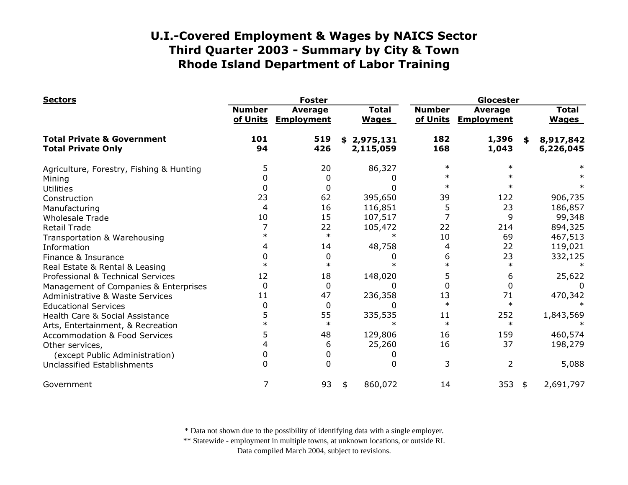| <b>Sectors</b>                                                     |                           | <b>Foster</b>                       |                              | Glocester                 |                                     |    |                              |
|--------------------------------------------------------------------|---------------------------|-------------------------------------|------------------------------|---------------------------|-------------------------------------|----|------------------------------|
|                                                                    | <b>Number</b><br>of Units | <b>Average</b><br><b>Employment</b> | <b>Total</b><br><b>Wages</b> | <b>Number</b><br>of Units | <b>Average</b><br><b>Employment</b> |    | <b>Total</b><br><b>Wages</b> |
| <b>Total Private &amp; Government</b><br><b>Total Private Only</b> | 101<br>94                 | 519<br>426                          | 2,975,131<br>\$<br>2,115,059 | 182<br>168                | 1,396<br>1,043                      | \$ | 8,917,842<br>6,226,045       |
| Agriculture, Forestry, Fishing & Hunting                           | 5                         | 20                                  | 86,327                       | $\ast$                    | $\ast$                              |    |                              |
| Mining                                                             |                           | 0                                   |                              | ∗                         | $\ast$                              |    |                              |
| <b>Utilities</b>                                                   | 0                         | 0                                   | 0                            | $\ast$                    | $\ast$                              |    |                              |
| Construction                                                       | 23                        | 62                                  | 395,650                      | 39                        | 122                                 |    | 906,735                      |
| Manufacturing                                                      | 4                         | 16                                  | 116,851                      | 5                         | 23                                  |    | 186,857                      |
| <b>Wholesale Trade</b>                                             | 10                        | 15                                  | 107,517                      |                           | 9                                   |    | 99,348                       |
| <b>Retail Trade</b>                                                |                           | 22                                  | 105,472                      | 22                        | 214                                 |    | 894,325                      |
| Transportation & Warehousing                                       | $\ast$                    | $\ast$                              | $\ast$                       | 10                        | 69                                  |    | 467,513                      |
| Information                                                        |                           | 14                                  | 48,758                       | 4                         | 22                                  |    | 119,021                      |
| Finance & Insurance                                                |                           | 0                                   |                              | 6                         | 23                                  |    | 332,125                      |
| Real Estate & Rental & Leasing                                     | $\ast$                    | $\ast$                              |                              | $\ast$                    | $\ast$                              |    |                              |
| Professional & Technical Services                                  | 12                        | 18                                  | 148,020                      | 5                         | 6                                   |    | 25,622                       |
| Management of Companies & Enterprises                              | 0                         | $\Omega$                            | 0                            |                           | 0                                   |    |                              |
| <b>Administrative &amp; Waste Services</b>                         | 11                        | 47                                  | 236,358                      | 13                        | 71                                  |    | 470,342                      |
| <b>Educational Services</b>                                        | 0                         | 0                                   | 0                            | $\ast$                    | $\ast$                              |    |                              |
| Health Care & Social Assistance                                    | 5                         | 55                                  | 335,535                      | 11                        | 252                                 |    | 1,843,569                    |
| Arts, Entertainment, & Recreation                                  |                           | $\ast$                              |                              | $\ast$                    | $\ast$                              |    |                              |
| <b>Accommodation &amp; Food Services</b>                           |                           | 48                                  | 129,806                      | 16                        | 159                                 |    | 460,574                      |
| Other services,                                                    | 4                         | 6                                   | 25,260                       | 16                        | 37                                  |    | 198,279                      |
| (except Public Administration)                                     | 0                         | 0                                   |                              |                           |                                     |    |                              |
| <b>Unclassified Establishments</b>                                 | U                         | $\Omega$                            | 0                            | 3                         | 2                                   |    | 5,088                        |
| Government                                                         | 7                         | 93                                  | 860,072<br>\$                | 14                        | 353 \$                              |    | 2,691,797                    |

\* Data not shown due to the possibility of identifying data with a single employer.

\*\* Statewide - employment in multiple towns, at unknown locations, or outside RI.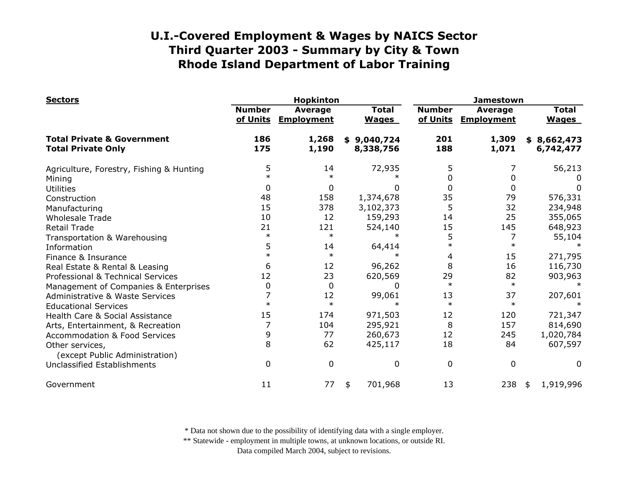| <b>Sectors</b>                                                     |                           | Hopkinton                           |                              |                           | <b>Jamestown</b>                    |                              |  |  |
|--------------------------------------------------------------------|---------------------------|-------------------------------------|------------------------------|---------------------------|-------------------------------------|------------------------------|--|--|
|                                                                    | <b>Number</b><br>of Units | <b>Average</b><br><b>Employment</b> | <b>Total</b><br><b>Wages</b> | <b>Number</b><br>of Units | <b>Average</b><br><b>Employment</b> | <b>Total</b><br><b>Wages</b> |  |  |
| <b>Total Private &amp; Government</b><br><b>Total Private Only</b> | 186<br>175                | 1,268<br>1,190                      | \$9,040,724<br>8,338,756     | 201<br>188                | 1,309<br>1,071                      | \$8,662,473<br>6,742,477     |  |  |
| Agriculture, Forestry, Fishing & Hunting                           | 5                         | 14                                  | 72,935                       | 5                         |                                     | 56,213                       |  |  |
| Mining                                                             | $\ast$                    | $\ast$                              |                              | 0                         | 0                                   |                              |  |  |
| Utilities                                                          | 0                         | 0                                   | 0                            | 0                         | 0                                   | 0                            |  |  |
| Construction                                                       | 48                        | 158                                 | 1,374,678                    | 35                        | 79                                  | 576,331                      |  |  |
| Manufacturing                                                      | 15                        | 378                                 | 3,102,373                    | 5                         | 32                                  | 234,948                      |  |  |
| <b>Wholesale Trade</b>                                             | 10                        | 12                                  | 159,293                      | 14                        | 25                                  | 355,065                      |  |  |
| <b>Retail Trade</b>                                                | 21                        | 121                                 | 524,140                      | 15                        | 145                                 | 648,923                      |  |  |
| Transportation & Warehousing                                       | $\ast$                    | $\ast$                              | $\ast$                       | 5                         |                                     | 55,104                       |  |  |
| Information                                                        | 5                         | 14                                  | 64,414                       | $\ast$                    | $\ast$                              |                              |  |  |
| Finance & Insurance                                                | $\ast$                    | $\ast$                              | $\ast$                       | 4                         | 15                                  | 271,795                      |  |  |
| Real Estate & Rental & Leasing                                     | 6                         | 12                                  | 96,262                       | 8                         | 16                                  | 116,730                      |  |  |
| Professional & Technical Services                                  | 12                        | 23                                  | 620,569                      | 29                        | 82                                  | 903,963                      |  |  |
| Management of Companies & Enterprises                              | 0                         | $\mathbf{0}$                        | ∩                            | $\ast$                    | $\ast$                              |                              |  |  |
| <b>Administrative &amp; Waste Services</b>                         |                           | 12                                  | 99,061                       | 13                        | 37                                  | 207,601                      |  |  |
| <b>Educational Services</b>                                        | $\ast$                    | $\ast$                              |                              | $\ast$                    | $\ast$                              |                              |  |  |
| Health Care & Social Assistance                                    | 15                        | 174                                 | 971,503                      | 12                        | 120                                 | 721,347                      |  |  |
| Arts, Entertainment, & Recreation                                  |                           | 104                                 | 295,921                      | 8                         | 157                                 | 814,690                      |  |  |
| <b>Accommodation &amp; Food Services</b>                           | 9                         | 77                                  | 260,673                      | 12                        | 245                                 | 1,020,784                    |  |  |
| Other services,<br>(except Public Administration)                  | 8                         | 62                                  | 425,117                      | 18                        | 84                                  | 607,597                      |  |  |
| <b>Unclassified Establishments</b>                                 | $\Omega$                  | 0                                   | $\Omega$                     | 0                         | 0                                   | 0                            |  |  |
| Government                                                         | 11                        | 77                                  | 701,968<br>\$                | 13                        | 238                                 | 1,919,996<br>\$              |  |  |

\* Data not shown due to the possibility of identifying data with a single employer.

\*\* Statewide - employment in multiple towns, at unknown locations, or outside RI.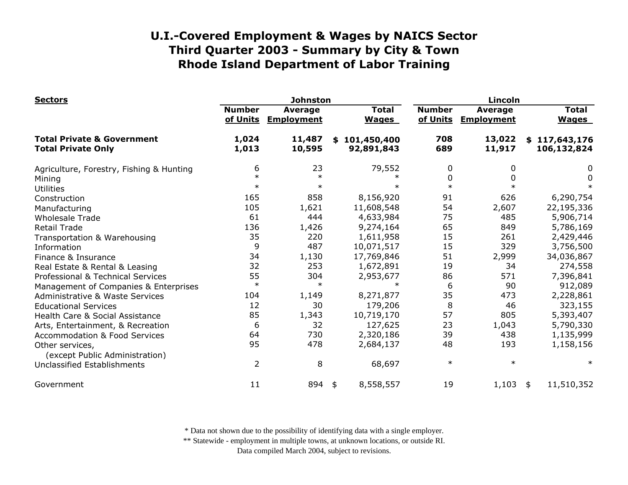| <b>Sectors</b>                                                     |                           | <b>Johnston</b>              |                              | Lincoln                   |                                     |                              |  |
|--------------------------------------------------------------------|---------------------------|------------------------------|------------------------------|---------------------------|-------------------------------------|------------------------------|--|
|                                                                    | <b>Number</b><br>of Units | Average<br><b>Employment</b> | <b>Total</b><br><u>Wages</u> | <b>Number</b><br>of Units | <b>Average</b><br><b>Employment</b> | <b>Total</b><br><b>Wages</b> |  |
| <b>Total Private &amp; Government</b><br><b>Total Private Only</b> | 1,024<br>1,013            | 11,487<br>10,595             | \$101,450,400<br>92,891,843  | 708<br>689                | 13,022<br>11,917                    | \$117,643,176<br>106,132,824 |  |
| Agriculture, Forestry, Fishing & Hunting                           | 6                         | 23                           | 79,552                       | 0                         | 0                                   | 0                            |  |
| Mining                                                             | $\ast$                    | $\ast$                       |                              | 0                         | 0                                   | 0                            |  |
| <b>Utilities</b>                                                   | $\ast$                    | $\ast$                       | $\ast$                       | $\ast$                    |                                     | $\ast$                       |  |
| Construction                                                       | 165                       | 858                          | 8,156,920                    | 91                        | 626                                 | 6,290,754                    |  |
| Manufacturing                                                      | 105                       | 1,621                        | 11,608,548                   | 54                        | 2,607                               | 22,195,336                   |  |
| <b>Wholesale Trade</b>                                             | 61                        | 444                          | 4,633,984                    | 75                        | 485                                 | 5,906,714                    |  |
| <b>Retail Trade</b>                                                | 136                       | 1,426                        | 9,274,164                    | 65                        | 849                                 | 5,786,169                    |  |
| Transportation & Warehousing                                       | 35                        | 220                          | 1,611,958                    | 15                        | 261                                 | 2,429,446                    |  |
| Information                                                        | 9                         | 487                          | 10,071,517                   | 15                        | 329                                 | 3,756,500                    |  |
| Finance & Insurance                                                | 34                        | 1,130                        | 17,769,846                   | 51                        | 2,999                               | 34,036,867                   |  |
| Real Estate & Rental & Leasing                                     | 32                        | 253                          | 1,672,891                    | 19                        | 34                                  | 274,558                      |  |
| Professional & Technical Services                                  | 55                        | 304                          | 2,953,677                    | 86                        | 571                                 | 7,396,841                    |  |
| Management of Companies & Enterprises                              | $\ast$                    | $\ast$                       | $\ast$                       | 6                         | 90                                  | 912,089                      |  |
| <b>Administrative &amp; Waste Services</b>                         | 104                       | 1,149                        | 8,271,877                    | 35                        | 473                                 | 2,228,861                    |  |
| <b>Educational Services</b>                                        | 12                        | 30                           | 179,206                      | 8                         | 46                                  | 323,155                      |  |
| Health Care & Social Assistance                                    | 85                        | 1,343                        | 10,719,170                   | 57                        | 805                                 | 5,393,407                    |  |
| Arts, Entertainment, & Recreation                                  | 6                         | 32                           | 127,625                      | 23                        | 1,043                               | 5,790,330                    |  |
| <b>Accommodation &amp; Food Services</b>                           | 64                        | 730                          | 2,320,186                    | 39                        | 438                                 | 1,135,999                    |  |
| Other services,<br>(except Public Administration)                  | 95                        | 478                          | 2,684,137                    | 48                        | 193                                 | 1,158,156                    |  |
| Unclassified Establishments                                        | $\overline{2}$            | 8                            | 68,697                       | $\ast$                    | $\ast$                              | $\ast$                       |  |
| Government                                                         | 11                        | 894                          | 8,558,557<br>\$              | 19                        | 1,103                               | 11,510,352<br>\$             |  |

\* Data not shown due to the possibility of identifying data with a single employer.

\*\* Statewide - employment in multiple towns, at unknown locations, or outside RI.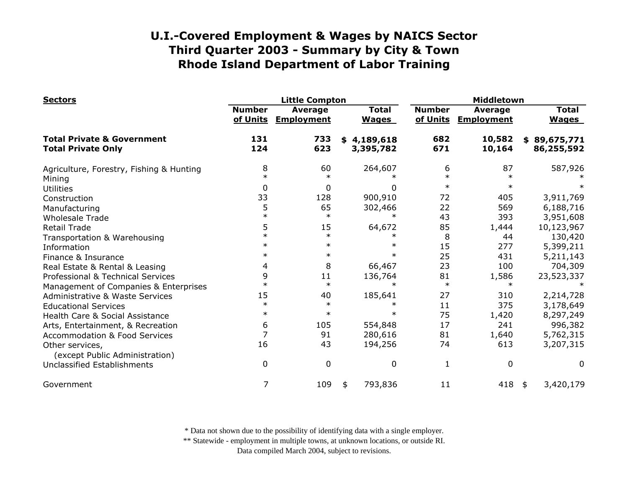| <b>Sectors</b>                                                     |                           | <b>Little Compton</b>               |                              |                           | Middletown                   |  |                              |  |
|--------------------------------------------------------------------|---------------------------|-------------------------------------|------------------------------|---------------------------|------------------------------|--|------------------------------|--|
|                                                                    | <b>Number</b><br>of Units | <b>Average</b><br><b>Employment</b> | <b>Total</b><br><b>Wages</b> | <b>Number</b><br>of Units | Average<br><b>Employment</b> |  | <b>Total</b><br><b>Wages</b> |  |
| <b>Total Private &amp; Government</b><br><b>Total Private Only</b> | 131<br>124                | 733<br>623                          | 4,189,618<br>\$<br>3,395,782 | 682<br>671                | 10,582<br>10,164             |  | \$89,675,771<br>86,255,592   |  |
| Agriculture, Forestry, Fishing & Hunting                           | 8                         | 60                                  | 264,607                      | 6                         | 87                           |  | 587,926                      |  |
| Mining                                                             | $\ast$                    | $\ast$                              |                              | $\ast$                    | $\ast$                       |  |                              |  |
| <b>Utilities</b>                                                   | 0                         | 0                                   | 0                            | $\ast$                    | $\ast$                       |  |                              |  |
| Construction                                                       | 33                        | 128                                 | 900,910                      | 72                        | 405                          |  | 3,911,769                    |  |
| Manufacturing                                                      | 5                         | 65                                  | 302,466                      | 22                        | 569                          |  | 6,188,716                    |  |
| <b>Wholesale Trade</b>                                             | $\ast$                    | $\ast$                              |                              | 43                        | 393                          |  | 3,951,608                    |  |
| <b>Retail Trade</b>                                                | 5                         | 15                                  | 64,672                       | 85                        | 1,444                        |  | 10,123,967                   |  |
| Transportation & Warehousing                                       | $\ast$                    | $\ast$                              | $\ast$                       | 8                         | 44                           |  | 130,420                      |  |
| Information                                                        | $\ast$                    | $\ast$                              | $\ast$                       | 15                        | 277                          |  | 5,399,211                    |  |
| Finance & Insurance                                                | $\ast$                    | $\ast$                              | $\ast$                       | 25                        | 431                          |  | 5,211,143                    |  |
| Real Estate & Rental & Leasing                                     | 4                         | 8                                   | 66,467                       | 23                        | 100                          |  | 704,309                      |  |
| Professional & Technical Services                                  | 9                         | 11                                  | 136,764                      | 81                        | 1,586                        |  | 23,523,337                   |  |
| Management of Companies & Enterprises                              | $\ast$                    | $\ast$                              | $\ast$                       | $\ast$                    | $\ast$                       |  |                              |  |
| <b>Administrative &amp; Waste Services</b>                         | 15                        | 40                                  | 185,641                      | 27                        | 310                          |  | 2,214,728                    |  |
| <b>Educational Services</b>                                        | $\ast$                    | $\ast$                              | $\ast$                       | 11                        | 375                          |  | 3,178,649                    |  |
| Health Care & Social Assistance                                    | $\ast$                    | $\ast$                              | $\ast$                       | 75                        | 1,420                        |  | 8,297,249                    |  |
| Arts, Entertainment, & Recreation                                  | 6                         | 105                                 | 554,848                      | 17                        | 241                          |  | 996,382                      |  |
| <b>Accommodation &amp; Food Services</b>                           | 7                         | 91                                  | 280,616                      | 81                        | 1,640                        |  | 5,762,315                    |  |
| Other services,                                                    | 16                        | 43                                  | 194,256                      | 74                        | 613                          |  | 3,207,315                    |  |
| (except Public Administration)                                     |                           |                                     |                              |                           |                              |  |                              |  |
| <b>Unclassified Establishments</b>                                 | 0                         | $\mathbf 0$                         | $\mathbf 0$                  | 1                         | 0                            |  | 0                            |  |
| Government                                                         | 7                         | 109                                 | 793,836<br>\$                | 11                        | 418 \$                       |  | 3,420,179                    |  |

\* Data not shown due to the possibility of identifying data with a single employer.

\*\* Statewide - employment in multiple towns, at unknown locations, or outside RI.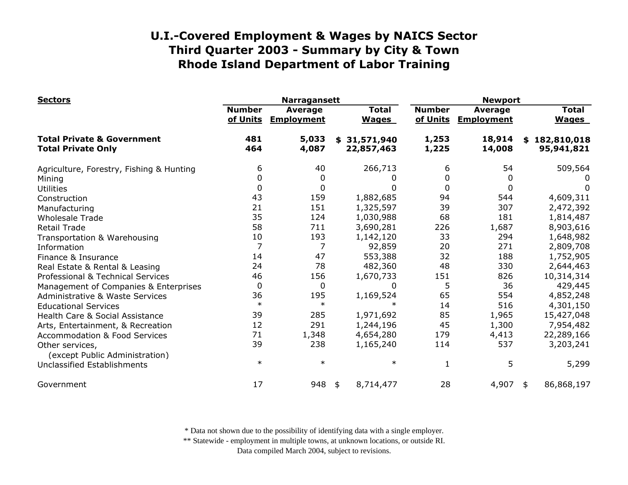| <b>Sectors</b>                                                     |                           | <b>Narragansett</b>                 | <b>Newport</b>               |                           |                                     |    |                              |
|--------------------------------------------------------------------|---------------------------|-------------------------------------|------------------------------|---------------------------|-------------------------------------|----|------------------------------|
|                                                                    | <b>Number</b><br>of Units | <b>Average</b><br><b>Employment</b> | <b>Total</b><br><b>Wages</b> | <b>Number</b><br>of Units | <b>Average</b><br><b>Employment</b> |    | <b>Total</b><br><b>Wages</b> |
| <b>Total Private &amp; Government</b><br><b>Total Private Only</b> | 481<br>464                | 5,033<br>4,087                      | \$31,571,940<br>22,857,463   | 1,253<br>1,225            | 18,914<br>14,008                    |    | \$182,810,018<br>95,941,821  |
| Agriculture, Forestry, Fishing & Hunting                           | 6                         | 40                                  | 266,713                      | 6                         | 54                                  |    | 509,564                      |
| Mining                                                             | 0                         | 0                                   |                              | 0                         | $\Omega$                            |    |                              |
| <b>Utilities</b>                                                   | 0                         | 0                                   | 0                            | 0                         | 0                                   |    | 0                            |
| Construction                                                       | 43                        | 159                                 | 1,882,685                    | 94                        | 544                                 |    | 4,609,311                    |
| Manufacturing                                                      | 21                        | 151                                 | 1,325,597                    | 39                        | 307                                 |    | 2,472,392                    |
| <b>Wholesale Trade</b>                                             | 35                        | 124                                 | 1,030,988                    | 68                        | 181                                 |    | 1,814,487                    |
| <b>Retail Trade</b>                                                | 58                        | 711                                 | 3,690,281                    | 226                       | 1,687                               |    | 8,903,616                    |
| Transportation & Warehousing                                       | 10                        | 193                                 | 1,142,120                    | 33                        | 294                                 |    | 1,648,982                    |
| Information                                                        | $\overline{7}$            | 7                                   | 92,859                       | 20                        | 271                                 |    | 2,809,708                    |
| Finance & Insurance                                                | 14                        | 47                                  | 553,388                      | 32                        | 188                                 |    | 1,752,905                    |
| Real Estate & Rental & Leasing                                     | 24                        | 78                                  | 482,360                      | 48                        | 330                                 |    | 2,644,463                    |
| Professional & Technical Services                                  | 46                        | 156                                 | 1,670,733                    | 151                       | 826                                 |    | 10,314,314                   |
| Management of Companies & Enterprises                              | 0                         | 0                                   | 0                            | 5                         | 36                                  |    | 429,445                      |
| <b>Administrative &amp; Waste Services</b>                         | 36                        | 195                                 | 1,169,524                    | 65                        | 554                                 |    | 4,852,248                    |
| <b>Educational Services</b>                                        | $\ast$                    | $\ast$                              |                              | 14                        | 516                                 |    | 4,301,150                    |
| Health Care & Social Assistance                                    | 39                        | 285                                 | 1,971,692                    | 85                        | 1,965                               |    | 15,427,048                   |
| Arts, Entertainment, & Recreation                                  | 12                        | 291                                 | 1,244,196                    | 45                        | 1,300                               |    | 7,954,482                    |
| <b>Accommodation &amp; Food Services</b>                           | 71                        | 1,348                               | 4,654,280                    | 179                       | 4,413                               |    | 22,289,166                   |
| Other services,<br>(except Public Administration)                  | 39                        | 238                                 | 1,165,240                    | 114                       | 537                                 |    | 3,203,241                    |
| Unclassified Establishments                                        | $\ast$                    | $\ast$                              | $\ast$                       | $\mathbf{1}$              | 5                                   |    | 5,299                        |
| Government                                                         | 17                        | 948                                 | 8,714,477<br>\$              | 28                        | 4,907                               | \$ | 86,868,197                   |

\* Data not shown due to the possibility of identifying data with a single employer.

\*\* Statewide - employment in multiple towns, at unknown locations, or outside RI.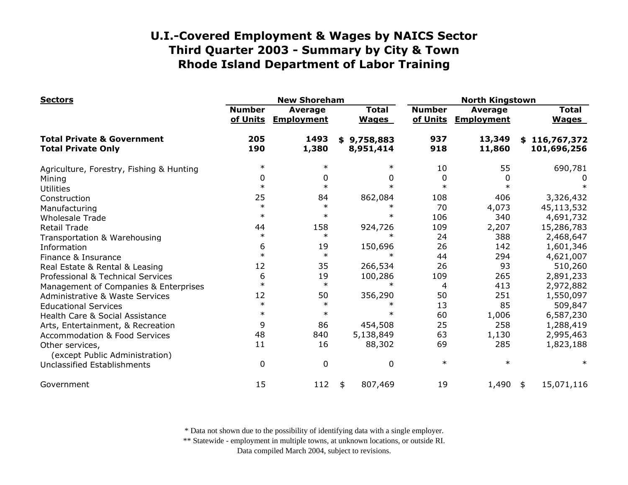| <b>Sectors</b>                                                     |                           | <b>New Shoreham</b>          |                              | <b>North Kingstown</b>    |                                     |                              |  |
|--------------------------------------------------------------------|---------------------------|------------------------------|------------------------------|---------------------------|-------------------------------------|------------------------------|--|
|                                                                    | <b>Number</b><br>of Units | Average<br><b>Employment</b> | <b>Total</b><br><b>Wages</b> | <b>Number</b><br>of Units | <b>Average</b><br><b>Employment</b> | <b>Total</b><br><b>Wages</b> |  |
| <b>Total Private &amp; Government</b><br><b>Total Private Only</b> | 205<br>190                | 1493<br>1,380                | \$9,758,883<br>8,951,414     | 937<br>918                | 13,349<br>11,860                    | \$116,767,372<br>101,696,256 |  |
| Agriculture, Forestry, Fishing & Hunting                           | $\ast$                    | $\ast$                       | $\ast$                       | 10                        | 55                                  | 690,781                      |  |
| Mining                                                             | 0                         | 0                            | 0                            | 0                         | 0                                   | O                            |  |
| <b>Utilities</b>                                                   | $\ast$                    | $\ast$                       |                              | $\ast$                    |                                     |                              |  |
| Construction                                                       | 25                        | 84                           | 862,084                      | 108                       | 406                                 | 3,326,432                    |  |
| Manufacturing                                                      | $\ast$                    | $\ast$                       |                              | 70                        | 4,073                               | 45,113,532                   |  |
| <b>Wholesale Trade</b>                                             | $\ast$                    | $\ast$                       |                              | 106                       | 340                                 | 4,691,732                    |  |
| <b>Retail Trade</b>                                                | 44                        | 158                          | 924,726                      | 109                       | 2,207                               | 15,286,783                   |  |
| Transportation & Warehousing                                       | $\ast$                    | $\ast$                       | $\ast$                       | 24                        | 388                                 | 2,468,647                    |  |
| Information                                                        | 6                         | 19                           | 150,696                      | 26                        | 142                                 | 1,601,346                    |  |
| Finance & Insurance                                                | $\ast$                    | $\ast$                       |                              | 44                        | 294                                 | 4,621,007                    |  |
| Real Estate & Rental & Leasing                                     | 12                        | 35                           | 266,534                      | 26                        | 93                                  | 510,260                      |  |
| Professional & Technical Services                                  | 6                         | 19                           | 100,286                      | 109                       | 265                                 | 2,891,233                    |  |
| Management of Companies & Enterprises                              | $\ast$                    | $\ast$                       | $\ast$                       | 4                         | 413                                 | 2,972,882                    |  |
| Administrative & Waste Services                                    | 12                        | 50                           | 356,290                      | 50                        | 251                                 | 1,550,097                    |  |
| <b>Educational Services</b>                                        | $\ast$                    | $\ast$                       |                              | 13                        | 85                                  | 509,847                      |  |
| Health Care & Social Assistance                                    | $\ast$                    | $\ast$                       | $\ast$                       | 60                        | 1,006                               | 6,587,230                    |  |
| Arts, Entertainment, & Recreation                                  | 9                         | 86                           | 454,508                      | 25                        | 258                                 | 1,288,419                    |  |
| <b>Accommodation &amp; Food Services</b>                           | 48                        | 840                          | 5,138,849                    | 63                        | 1,130                               | 2,995,463                    |  |
| Other services,                                                    | 11                        | 16                           | 88,302                       | 69                        | 285                                 | 1,823,188                    |  |
| (except Public Administration)                                     |                           |                              |                              |                           |                                     |                              |  |
| Unclassified Establishments                                        | $\mathbf 0$               | $\mathbf{0}$                 | 0                            | $\ast$                    | $\ast$                              | $\ast$                       |  |
| Government                                                         | 15                        | 112                          | 807,469<br>\$                | 19                        | 1,490                               | 15,071,116<br>\$             |  |

\* Data not shown due to the possibility of identifying data with a single employer.

\*\* Statewide - employment in multiple towns, at unknown locations, or outside RI.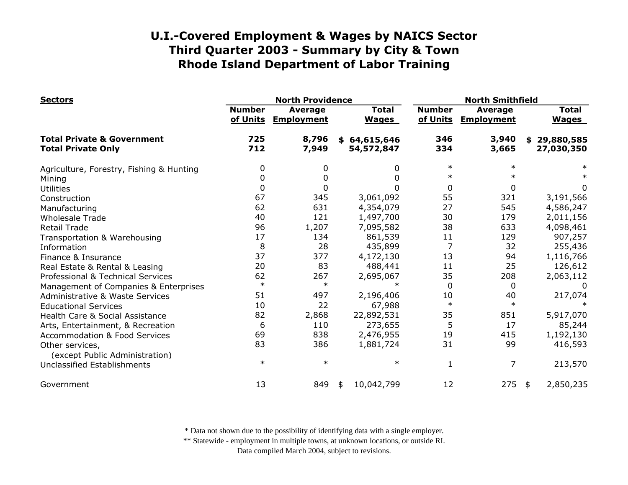| <b>Sectors</b>                                                     |                           | <b>North Providence</b>      |                              | <b>North Smithfield</b>   |                                     |                                |  |
|--------------------------------------------------------------------|---------------------------|------------------------------|------------------------------|---------------------------|-------------------------------------|--------------------------------|--|
|                                                                    | <b>Number</b><br>of Units | Average<br><b>Employment</b> | <b>Total</b><br><b>Wages</b> | <b>Number</b><br>of Units | <b>Average</b><br><b>Employment</b> | <b>Total</b><br><b>Wages</b>   |  |
| <b>Total Private &amp; Government</b><br><b>Total Private Only</b> | 725<br>712                | 8,796<br>7,949               | \$64,615,646<br>54,572,847   | 346<br>334                | 3,940<br>3,665                      | 29,880,585<br>\$<br>27,030,350 |  |
| Agriculture, Forestry, Fishing & Hunting                           | 0                         | 0                            | 0                            | $\ast$                    | $\ast$                              |                                |  |
| Mining                                                             | 0                         | 0                            | 0                            | $\ast$                    | $\ast$                              |                                |  |
| <b>Utilities</b>                                                   | $\mathbf 0$               |                              | 0                            | 0                         | 0                                   | 0                              |  |
| Construction                                                       | 67                        | 345                          | 3,061,092                    | 55                        | 321                                 | 3,191,566                      |  |
| Manufacturing                                                      | 62                        | 631                          | 4,354,079                    | 27                        | 545                                 | 4,586,247                      |  |
| <b>Wholesale Trade</b>                                             | 40                        | 121                          | 1,497,700                    | 30                        | 179                                 | 2,011,156                      |  |
| <b>Retail Trade</b>                                                | 96                        | 1,207                        | 7,095,582                    | 38                        | 633                                 | 4,098,461                      |  |
| Transportation & Warehousing                                       | 17                        | 134                          | 861,539                      | 11                        | 129                                 | 907,257                        |  |
| Information                                                        | 8                         | 28                           | 435,899                      | 7                         | 32                                  | 255,436                        |  |
| Finance & Insurance                                                | 37                        | 377                          | 4,172,130                    | 13                        | 94                                  | 1,116,766                      |  |
| Real Estate & Rental & Leasing                                     | 20                        | 83                           | 488,441                      | 11                        | 25                                  | 126,612                        |  |
| Professional & Technical Services                                  | 62                        | 267                          | 2,695,067                    | 35                        | 208                                 | 2,063,112                      |  |
| Management of Companies & Enterprises                              | $\ast$                    | $\ast$                       |                              | $\Omega$                  | 0                                   | $\Omega$                       |  |
| Administrative & Waste Services                                    | 51                        | 497                          | 2,196,406                    | 10                        | 40                                  | 217,074                        |  |
| <b>Educational Services</b>                                        | 10                        | 22                           | 67,988                       | $\ast$                    | $\ast$                              |                                |  |
| Health Care & Social Assistance                                    | 82                        | 2,868                        | 22,892,531                   | 35                        | 851                                 | 5,917,070                      |  |
| Arts, Entertainment, & Recreation                                  | 6                         | 110                          | 273,655                      | 5                         | 17                                  | 85,244                         |  |
| <b>Accommodation &amp; Food Services</b>                           | 69                        | 838                          | 2,476,955                    | 19                        | 415                                 | 1,192,130                      |  |
| Other services,<br>(except Public Administration)                  | 83                        | 386                          | 1,881,724                    | 31                        | 99                                  | 416,593                        |  |
| Unclassified Establishments                                        | $\ast$                    | $\ast$                       | $\ast$                       | 1                         | 7                                   | 213,570                        |  |
| Government                                                         | 13                        | 849                          | 10,042,799<br>\$             | 12                        | 275                                 | 2,850,235<br>$\frac{1}{2}$     |  |

\* Data not shown due to the possibility of identifying data with a single employer.

\*\* Statewide - employment in multiple towns, at unknown locations, or outside RI.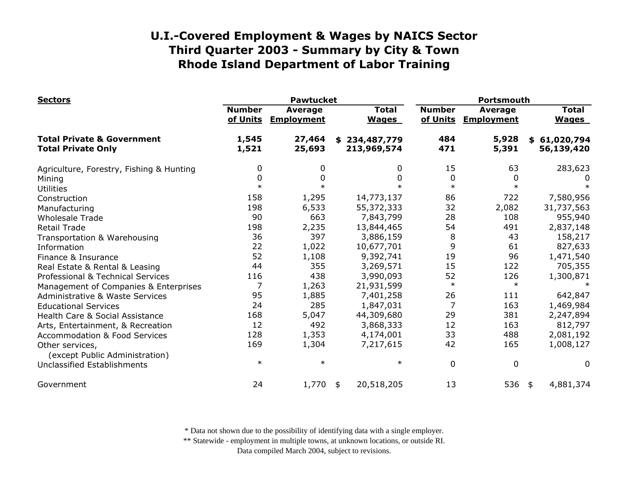| <b>Sectors</b>                                                     |                           | <b>Pawtucket</b>             |                              | Portsmouth                |                                     |                              |  |
|--------------------------------------------------------------------|---------------------------|------------------------------|------------------------------|---------------------------|-------------------------------------|------------------------------|--|
|                                                                    | <b>Number</b><br>of Units | <b>Average</b><br>Employment | <b>Total</b><br><b>Wages</b> | <b>Number</b><br>of Units | <b>Average</b><br><b>Employment</b> | <b>Total</b><br><b>Wages</b> |  |
| <b>Total Private &amp; Government</b><br><b>Total Private Only</b> | 1,545<br>1,521            | 27,464<br>25,693             | \$234,487,779<br>213,969,574 | 484<br>471                | 5,928<br>5,391                      | \$61,020,794<br>56,139,420   |  |
| Agriculture, Forestry, Fishing & Hunting                           | 0                         | 0                            | 0                            | 15                        | 63                                  | 283,623                      |  |
| Mining                                                             | 0                         | 0                            | 0                            | 0                         | 0                                   | U                            |  |
| <b>Utilities</b>                                                   | $\ast$                    | $\ast$                       | $\star$                      | $\ast$                    | $\ast$                              |                              |  |
| Construction                                                       | 158                       | 1,295                        | 14,773,137                   | 86                        | 722                                 | 7,580,956                    |  |
| Manufacturing                                                      | 198                       | 6,533                        | 55,372,333                   | 32                        | 2,082                               | 31,737,563                   |  |
| <b>Wholesale Trade</b>                                             | 90                        | 663                          | 7,843,799                    | 28                        | 108                                 | 955,940                      |  |
| <b>Retail Trade</b>                                                | 198                       | 2,235                        | 13,844,465                   | 54                        | 491                                 | 2,837,148                    |  |
| Transportation & Warehousing                                       | 36                        | 397                          | 3,886,159                    | 8                         | 43                                  | 158,217                      |  |
| Information                                                        | 22                        | 1,022                        | 10,677,701                   | 9                         | 61                                  | 827,633                      |  |
| Finance & Insurance                                                | 52                        | 1,108                        | 9,392,741                    | 19                        | 96                                  | 1,471,540                    |  |
| Real Estate & Rental & Leasing                                     | 44                        | 355                          | 3,269,571                    | 15                        | 122                                 | 705,355                      |  |
| Professional & Technical Services                                  | 116                       | 438                          | 3,990,093                    | 52                        | 126                                 | 1,300,871                    |  |
| Management of Companies & Enterprises                              | 7                         | 1,263                        | 21,931,599                   | $\ast$                    | $\ast$                              |                              |  |
| Administrative & Waste Services                                    | 95                        | 1,885                        | 7,401,258                    | 26                        | 111                                 | 642,847                      |  |
| <b>Educational Services</b>                                        | 24                        | 285                          | 1,847,031                    | $\overline{7}$            | 163                                 | 1,469,984                    |  |
| Health Care & Social Assistance                                    | 168                       | 5,047                        | 44,309,680                   | 29                        | 381                                 | 2,247,894                    |  |
| Arts, Entertainment, & Recreation                                  | 12                        | 492                          | 3,868,333                    | 12                        | 163                                 | 812,797                      |  |
| <b>Accommodation &amp; Food Services</b>                           | 128                       | 1,353                        | 4,174,001                    | 33                        | 488                                 | 2,081,192                    |  |
| Other services,<br>(except Public Administration)                  | 169                       | 1,304                        | 7,217,615                    | 42                        | 165                                 | 1,008,127                    |  |
| Unclassified Establishments                                        | $\ast$                    | $\ast$                       | $\ast$                       | $\mathbf 0$               | $\mathbf 0$                         | 0                            |  |
| Government                                                         | 24                        | 1,770                        | 20,518,205<br>\$             | 13                        | 536                                 | 4,881,374<br>\$              |  |

\* Data not shown due to the possibility of identifying data with a single employer.

\*\* Statewide - employment in multiple towns, at unknown locations, or outside RI.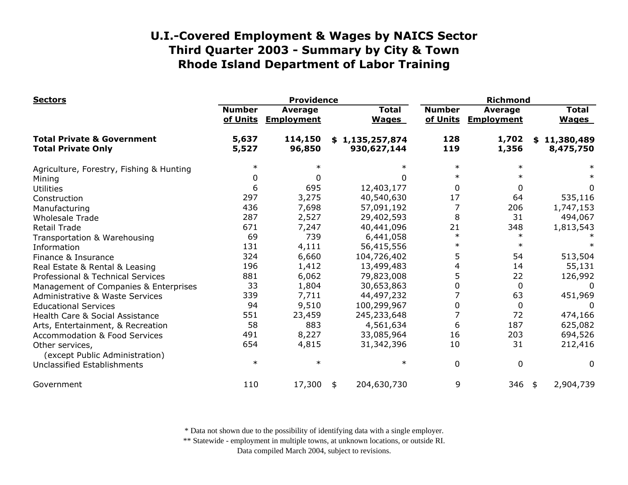| <b>Sectors</b>                                                     | <b>Providence</b>         |                                     |    |                                | <b>Richmond</b>           |                                     |    |                              |
|--------------------------------------------------------------------|---------------------------|-------------------------------------|----|--------------------------------|---------------------------|-------------------------------------|----|------------------------------|
|                                                                    | <b>Number</b><br>of Units | <b>Average</b><br><b>Employment</b> |    | <b>Total</b><br><b>Wages</b>   | <b>Number</b><br>of Units | <b>Average</b><br><b>Employment</b> |    | <b>Total</b><br><b>Wages</b> |
| <b>Total Private &amp; Government</b><br><b>Total Private Only</b> | 5,637<br>5,527            | 114,150<br>96,850                   |    | \$1,135,257,874<br>930,627,144 | 128<br>119                | 1,702<br>1,356                      |    | \$11,380,489<br>8,475,750    |
| Agriculture, Forestry, Fishing & Hunting                           | $\ast$                    |                                     |    | $\ast$                         | $\ast$                    | $\ast$                              |    |                              |
| Mining                                                             | U                         |                                     |    | U                              | $\ast$                    |                                     |    |                              |
| <b>Utilities</b>                                                   | 6                         | 695                                 |    | 12,403,177                     | 0                         | 0                                   |    | 0                            |
| Construction                                                       | 297                       | 3,275                               |    | 40,540,630                     | 17                        | 64                                  |    | 535,116                      |
| Manufacturing                                                      | 436                       | 7,698                               |    | 57,091,192                     |                           | 206                                 |    | 1,747,153                    |
| <b>Wholesale Trade</b>                                             | 287                       | 2,527                               |    | 29,402,593                     | 8                         | 31                                  |    | 494,067                      |
| <b>Retail Trade</b>                                                | 671                       | 7,247                               |    | 40,441,096                     | 21                        | 348                                 |    | 1,813,543                    |
| Transportation & Warehousing                                       | 69                        | 739                                 |    | 6,441,058                      | $\ast$                    | $\ast$                              |    |                              |
| Information                                                        | 131                       | 4,111                               |    | 56,415,556                     |                           | $\ast$                              |    |                              |
| Finance & Insurance                                                | 324                       | 6,660                               |    | 104,726,402                    | 5                         | 54                                  |    | 513,504                      |
| Real Estate & Rental & Leasing                                     | 196                       | 1,412                               |    | 13,499,483                     | 4                         | 14                                  |    | 55,131                       |
| Professional & Technical Services                                  | 881                       | 6,062                               |    | 79,823,008                     | 5                         | 22                                  |    | 126,992                      |
| Management of Companies & Enterprises                              | 33                        | 1,804                               |    | 30,653,863                     | 0                         | $\mathbf{0}$                        |    | $\Omega$                     |
| <b>Administrative &amp; Waste Services</b>                         | 339                       | 7,711                               |    | 44,497,232                     |                           | 63                                  |    | 451,969                      |
| <b>Educational Services</b>                                        | 94                        | 9,510                               |    | 100,299,967                    | 0                         | 0                                   |    |                              |
| Health Care & Social Assistance                                    | 551                       | 23,459                              |    | 245,233,648                    |                           | 72                                  |    | 474,166                      |
| Arts, Entertainment, & Recreation                                  | 58                        | 883                                 |    | 4,561,634                      | 6                         | 187                                 |    | 625,082                      |
| <b>Accommodation &amp; Food Services</b>                           | 491                       | 8,227                               |    | 33,085,964                     | 16                        | 203                                 |    | 694,526                      |
| Other services,<br>(except Public Administration)                  | 654                       | 4,815                               |    | 31,342,396                     | 10                        | 31                                  |    | 212,416                      |
| Unclassified Establishments                                        | $\ast$                    | $\ast$                              |    | $\ast$                         | $\overline{0}$            | $\overline{0}$                      |    | $\Omega$                     |
| Government                                                         | 110                       | 17,300                              | \$ | 204,630,730                    | 9                         | 346                                 | \$ | 2,904,739                    |

\* Data not shown due to the possibility of identifying data with a single employer.

\*\* Statewide - employment in multiple towns, at unknown locations, or outside RI.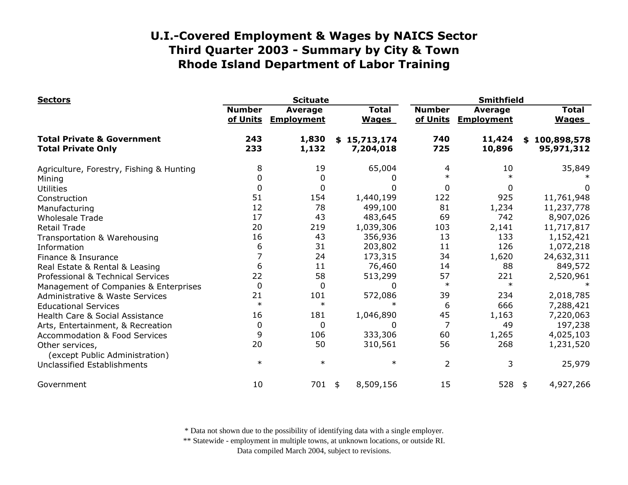| <b>Sectors</b>                                                     | <b>Scituate</b>           |                                     |                              | <b>Smithfield</b>         |                                     |                              |  |
|--------------------------------------------------------------------|---------------------------|-------------------------------------|------------------------------|---------------------------|-------------------------------------|------------------------------|--|
|                                                                    | <b>Number</b><br>of Units | <b>Average</b><br><b>Employment</b> | <b>Total</b><br><b>Wages</b> | <b>Number</b><br>of Units | <b>Average</b><br><b>Employment</b> | <b>Total</b><br><b>Wages</b> |  |
| <b>Total Private &amp; Government</b><br><b>Total Private Only</b> | 243<br>233                | 1,830<br>1,132                      | \$15,713,174<br>7,204,018    | 740<br>725                | 11,424<br>10,896                    | \$100,898,578<br>95,971,312  |  |
| Agriculture, Forestry, Fishing & Hunting                           | 8                         | 19                                  | 65,004                       | 4                         | 10                                  | 35,849                       |  |
| Mining                                                             | 0                         | 0                                   |                              | $\ast$                    | $\ast$                              |                              |  |
| Utilities                                                          | 0                         | 0                                   | 0                            | 0                         | 0                                   | 0                            |  |
| Construction                                                       | 51                        | 154                                 | 1,440,199                    | 122                       | 925                                 | 11,761,948                   |  |
| Manufacturing                                                      | 12                        | 78                                  | 499,100                      | 81                        | 1,234                               | 11,237,778                   |  |
| <b>Wholesale Trade</b>                                             | 17                        | 43                                  | 483,645                      | 69                        | 742                                 | 8,907,026                    |  |
| <b>Retail Trade</b>                                                | 20                        | 219                                 | 1,039,306                    | 103                       | 2,141                               | 11,717,817                   |  |
| Transportation & Warehousing                                       | 16                        | 43                                  | 356,936                      | 13                        | 133                                 | 1,152,421                    |  |
| Information                                                        | 6                         | 31                                  | 203,802                      | 11                        | 126                                 | 1,072,218                    |  |
| Finance & Insurance                                                | 7                         | 24                                  | 173,315                      | 34                        | 1,620                               | 24,632,311                   |  |
| Real Estate & Rental & Leasing                                     | 6                         | 11                                  | 76,460                       | 14                        | 88                                  | 849,572                      |  |
| Professional & Technical Services                                  | 22                        | 58                                  | 513,299                      | 57                        | 221                                 | 2,520,961                    |  |
| Management of Companies & Enterprises                              | $\mathbf 0$               | 0                                   | 0                            | $\ast$                    | $\ast$                              |                              |  |
| <b>Administrative &amp; Waste Services</b>                         | 21                        | 101                                 | 572,086                      | 39                        | 234                                 | 2,018,785                    |  |
| <b>Educational Services</b>                                        | $\ast$                    | $\ast$                              |                              | 6                         | 666                                 | 7,288,421                    |  |
| Health Care & Social Assistance                                    | 16                        | 181                                 | 1,046,890                    | 45                        | 1,163                               | 7,220,063                    |  |
| Arts, Entertainment, & Recreation                                  | 0                         | 0                                   | 0                            | 7                         | 49                                  | 197,238                      |  |
| <b>Accommodation &amp; Food Services</b>                           | 9                         | 106                                 | 333,306                      | 60                        | 1,265                               | 4,025,103                    |  |
| Other services,<br>(except Public Administration)                  | 20                        | 50                                  | 310,561                      | 56                        | 268                                 | 1,231,520                    |  |
| Unclassified Establishments                                        | $\ast$                    | $\ast$                              | $\ast$                       | $\overline{2}$            | 3                                   | 25,979                       |  |
| Government                                                         | 10                        | 701                                 | 8,509,156<br>\$              | 15                        | 528                                 | 4,927,266<br>$\frac{1}{2}$   |  |

\* Data not shown due to the possibility of identifying data with a single employer.

\*\* Statewide - employment in multiple towns, at unknown locations, or outside RI.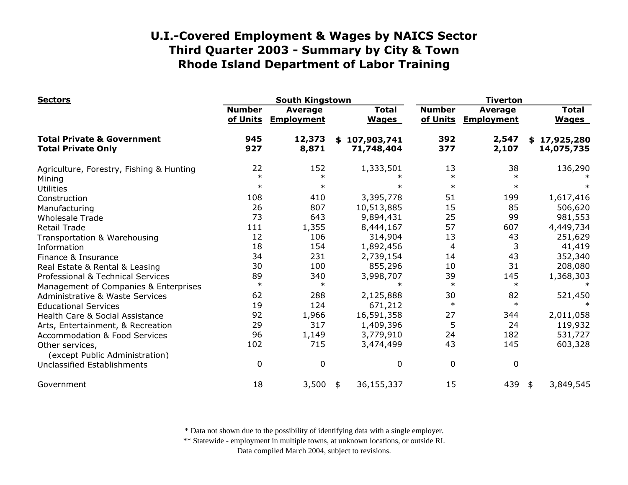| <b>Sectors</b>                                                     | <b>South Kingstown</b>    |                                     |                              |                             | <b>Tiverton</b>           |                                     |                              |  |
|--------------------------------------------------------------------|---------------------------|-------------------------------------|------------------------------|-----------------------------|---------------------------|-------------------------------------|------------------------------|--|
|                                                                    | <b>Number</b><br>of Units | <b>Average</b><br><b>Employment</b> | <b>Total</b><br><b>Wages</b> |                             | <b>Number</b><br>of Units | <b>Average</b><br><b>Employment</b> | <b>Total</b><br><b>Wages</b> |  |
| <b>Total Private &amp; Government</b><br><b>Total Private Only</b> | 945<br>927                | 12,373<br>8,871                     |                              | \$107,903,741<br>71,748,404 | 392<br>377                | 2,547<br>2,107                      | \$17,925,280<br>14,075,735   |  |
| Agriculture, Forestry, Fishing & Hunting                           | 22                        | 152                                 |                              | 1,333,501                   | 13                        | 38                                  | 136,290                      |  |
| Mining                                                             | $\ast$                    | $\ast$                              |                              |                             | $\ast$                    | $\ast$                              |                              |  |
| <b>Utilities</b>                                                   | $\ast$                    | $\ast$                              |                              | $\ast$                      | $\ast$                    | $\ast$                              |                              |  |
| Construction                                                       | 108                       | 410                                 |                              | 3,395,778                   | 51                        | 199                                 | 1,617,416                    |  |
| Manufacturing                                                      | 26                        | 807                                 |                              | 10,513,885                  | 15                        | 85                                  | 506,620                      |  |
| <b>Wholesale Trade</b>                                             | 73                        | 643                                 |                              | 9,894,431                   | 25                        | 99                                  | 981,553                      |  |
| <b>Retail Trade</b>                                                | 111                       | 1,355                               |                              | 8,444,167                   | 57                        | 607                                 | 4,449,734                    |  |
| Transportation & Warehousing                                       | 12                        | 106                                 |                              | 314,904                     | 13                        | 43                                  | 251,629                      |  |
| Information                                                        | 18                        | 154                                 |                              | 1,892,456                   | 4                         | 3                                   | 41,419                       |  |
| Finance & Insurance                                                | 34                        | 231                                 |                              | 2,739,154                   | 14                        | 43                                  | 352,340                      |  |
| Real Estate & Rental & Leasing                                     | 30                        | 100                                 |                              | 855,296                     | 10                        | 31                                  | 208,080                      |  |
| Professional & Technical Services                                  | 89                        | 340                                 |                              | 3,998,707                   | 39                        | 145                                 | 1,368,303                    |  |
| Management of Companies & Enterprises                              | $\ast$                    | $\ast$                              |                              | $\ast$                      | $\ast$                    | $\ast$                              | $\ast$                       |  |
| <b>Administrative &amp; Waste Services</b>                         | 62                        | 288                                 |                              | 2,125,888                   | 30                        | 82                                  | 521,450                      |  |
| <b>Educational Services</b>                                        | 19                        | 124                                 |                              | 671,212                     | $\ast$                    | $\ast$                              |                              |  |
| Health Care & Social Assistance                                    | 92                        | 1,966                               |                              | 16,591,358                  | 27                        | 344                                 | 2,011,058                    |  |
| Arts, Entertainment, & Recreation                                  | 29                        | 317                                 |                              | 1,409,396                   | 5                         | 24                                  | 119,932                      |  |
| <b>Accommodation &amp; Food Services</b>                           | 96                        | 1,149                               |                              | 3,779,910                   | 24                        | 182                                 | 531,727                      |  |
| Other services,                                                    | 102                       | 715                                 |                              | 3,474,499                   | 43                        | 145                                 | 603,328                      |  |
| (except Public Administration)                                     |                           |                                     |                              |                             |                           |                                     |                              |  |
| Unclassified Establishments                                        | $\Omega$                  | $\mathbf 0$                         |                              | 0                           | $\mathbf 0$               | $\pmb{0}$                           |                              |  |
| Government                                                         | 18                        | 3,500                               | \$                           | 36,155,337                  | 15                        | 439                                 | 3,849,545<br>\$              |  |

\* Data not shown due to the possibility of identifying data with a single employer.

\*\* Statewide - employment in multiple towns, at unknown locations, or outside RI.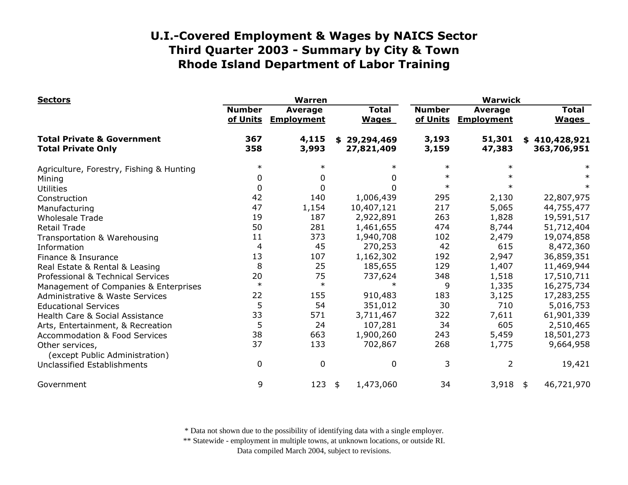| <b>Sectors</b>                                                     | <b>Warren</b>             |                                     |                                | <b>Warwick</b>            |                                     |                              |  |
|--------------------------------------------------------------------|---------------------------|-------------------------------------|--------------------------------|---------------------------|-------------------------------------|------------------------------|--|
|                                                                    | <b>Number</b><br>of Units | <b>Average</b><br><b>Employment</b> | <b>Total</b><br><b>Wages</b>   | <b>Number</b><br>of Units | <b>Average</b><br><b>Employment</b> | <b>Total</b><br><b>Wages</b> |  |
| <b>Total Private &amp; Government</b><br><b>Total Private Only</b> | 367<br>358                | 4,115<br>3,993                      | 29,294,469<br>\$<br>27,821,409 | 3,193<br>3,159            | 51,301<br>47,383                    | \$410,428,921<br>363,706,951 |  |
| Agriculture, Forestry, Fishing & Hunting                           | $\ast$                    | $\ast$                              | $\ast$                         | $\ast$                    | $\ast$                              |                              |  |
| Mining                                                             | 0                         | 0                                   | 0                              | $\ast$                    |                                     |                              |  |
| <b>Utilities</b>                                                   | 0                         | $\Omega$                            | 0                              | $\ast$                    |                                     |                              |  |
| Construction                                                       | 42                        | 140                                 | 1,006,439                      | 295                       | 2,130                               | 22,807,975                   |  |
| Manufacturing                                                      | 47                        | 1,154                               | 10,407,121                     | 217                       | 5,065                               | 44,755,477                   |  |
| <b>Wholesale Trade</b>                                             | 19                        | 187                                 | 2,922,891                      | 263                       | 1,828                               | 19,591,517                   |  |
| <b>Retail Trade</b>                                                | 50                        | 281                                 | 1,461,655                      | 474                       | 8,744                               | 51,712,404                   |  |
| Transportation & Warehousing                                       | 11                        | 373                                 | 1,940,708                      | 102                       | 2,479                               | 19,074,858                   |  |
| Information                                                        | $\overline{4}$            | 45                                  | 270,253                        | 42                        | 615                                 | 8,472,360                    |  |
| Finance & Insurance                                                | 13                        | 107                                 | 1,162,302                      | 192                       | 2,947                               | 36,859,351                   |  |
| Real Estate & Rental & Leasing                                     | 8                         | 25                                  | 185,655                        | 129                       | 1,407                               | 11,469,944                   |  |
| Professional & Technical Services                                  | 20                        | 75                                  | 737,624                        | 348                       | 1,518                               | 17,510,711                   |  |
| Management of Companies & Enterprises                              | $\ast$                    | $\ast$                              | $\ast$                         | 9                         | 1,335                               | 16,275,734                   |  |
| <b>Administrative &amp; Waste Services</b>                         | 22                        | 155                                 | 910,483                        | 183                       | 3,125                               | 17,283,255                   |  |
| <b>Educational Services</b>                                        | 5                         | 54                                  | 351,012                        | 30                        | 710                                 | 5,016,753                    |  |
| Health Care & Social Assistance                                    | 33                        | 571                                 | 3,711,467                      | 322                       | 7,611                               | 61,901,339                   |  |
| Arts, Entertainment, & Recreation                                  | 5                         | 24                                  | 107,281                        | 34                        | 605                                 | 2,510,465                    |  |
| <b>Accommodation &amp; Food Services</b>                           | 38                        | 663                                 | 1,900,260                      | 243                       | 5,459                               | 18,501,273                   |  |
| Other services,<br>(except Public Administration)                  | 37                        | 133                                 | 702,867                        | 268                       | 1,775                               | 9,664,958                    |  |
| Unclassified Establishments                                        | 0                         | $\mathbf 0$                         | 0                              | 3                         | 2                                   | 19,421                       |  |
| Government                                                         | 9                         | 123                                 | 1,473,060<br>\$                | 34                        | 3,918                               | 46,721,970<br>\$             |  |

\* Data not shown due to the possibility of identifying data with a single employer.

\*\* Statewide - employment in multiple towns, at unknown locations, or outside RI.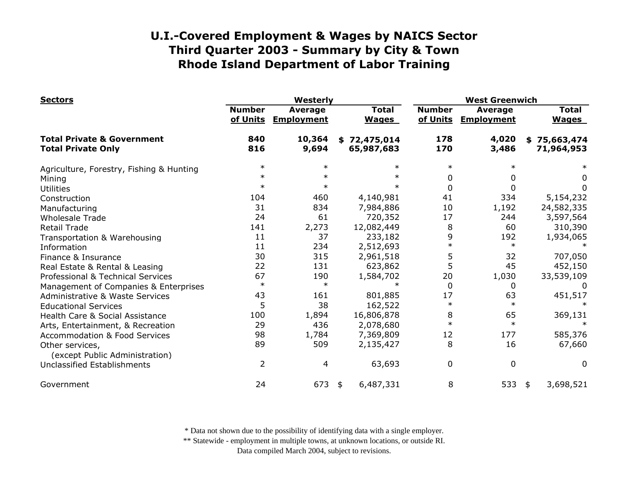| <b>Sectors</b>                                                     |                           | Westerly                            |                              | <b>West Greenwich</b>     |                                     |                              |  |
|--------------------------------------------------------------------|---------------------------|-------------------------------------|------------------------------|---------------------------|-------------------------------------|------------------------------|--|
|                                                                    | <b>Number</b><br>of Units | <b>Average</b><br><b>Employment</b> | <b>Total</b><br><b>Wages</b> | <b>Number</b><br>of Units | <b>Average</b><br><b>Employment</b> | <b>Total</b><br><b>Wages</b> |  |
| <b>Total Private &amp; Government</b><br><b>Total Private Only</b> | 840<br>816                | 10,364<br>9,694                     | \$72,475,014<br>65,987,683   | 178<br>170                | 4,020<br>3,486                      | \$75,663,474<br>71,964,953   |  |
| Agriculture, Forestry, Fishing & Hunting                           | $\ast$                    | $\ast$                              | $\ast$                       | $\ast$                    | $\ast$                              |                              |  |
| Mining                                                             | $\ast$                    | $\ast$                              |                              | 0                         | 0                                   | 0                            |  |
| <b>Utilities</b>                                                   | $\ast$                    |                                     |                              | 0                         | 0                                   | 0                            |  |
| Construction                                                       | 104                       | 460                                 | 4,140,981                    | 41                        | 334                                 | 5,154,232                    |  |
| Manufacturing                                                      | 31                        | 834                                 | 7,984,886                    | 10                        | 1,192                               | 24,582,335                   |  |
| <b>Wholesale Trade</b>                                             | 24                        | 61                                  | 720,352                      | 17                        | 244                                 | 3,597,564                    |  |
| <b>Retail Trade</b>                                                | 141                       | 2,273                               | 12,082,449                   | 8                         | 60                                  | 310,390                      |  |
| Transportation & Warehousing                                       | 11                        | 37                                  | 233,182                      | 9                         | 192                                 | 1,934,065                    |  |
| Information                                                        | 11                        | 234                                 | 2,512,693                    | $\ast$                    | $\ast$                              |                              |  |
| Finance & Insurance                                                | 30                        | 315                                 | 2,961,518                    | 5                         | 32                                  | 707,050                      |  |
| Real Estate & Rental & Leasing                                     | 22                        | 131                                 | 623,862                      | 5                         | 45                                  | 452,150                      |  |
| Professional & Technical Services                                  | 67                        | 190                                 | 1,584,702                    | 20                        | 1,030                               | 33,539,109                   |  |
| Management of Companies & Enterprises                              | $\ast$                    | $\ast$                              |                              | $\Omega$                  | 0                                   |                              |  |
| <b>Administrative &amp; Waste Services</b>                         | 43                        | 161                                 | 801,885                      | 17                        | 63                                  | 451,517                      |  |
| <b>Educational Services</b>                                        | 5                         | 38                                  | 162,522                      | $\ast$                    | $\ast$                              |                              |  |
| Health Care & Social Assistance                                    | 100                       | 1,894                               | 16,806,878                   | 8                         | 65                                  | 369,131                      |  |
| Arts, Entertainment, & Recreation                                  | 29                        | 436                                 | 2,078,680                    | $\ast$                    | $\ast$                              | $\ast$                       |  |
| <b>Accommodation &amp; Food Services</b>                           | 98                        | 1,784                               | 7,369,809                    | 12                        | 177                                 | 585,376                      |  |
| Other services,<br>(except Public Administration)                  | 89                        | 509                                 | 2,135,427                    | 8                         | 16                                  | 67,660                       |  |
| Unclassified Establishments                                        | $\overline{2}$            | 4                                   | 63,693                       | $\mathbf 0$               | $\mathbf 0$                         | 0                            |  |
| Government                                                         | 24                        | 673                                 | 6,487,331<br>\$              | 8                         | 533                                 | 3,698,521<br>\$              |  |

\* Data not shown due to the possibility of identifying data with a single employer.

\*\* Statewide - employment in multiple towns, at unknown locations, or outside RI.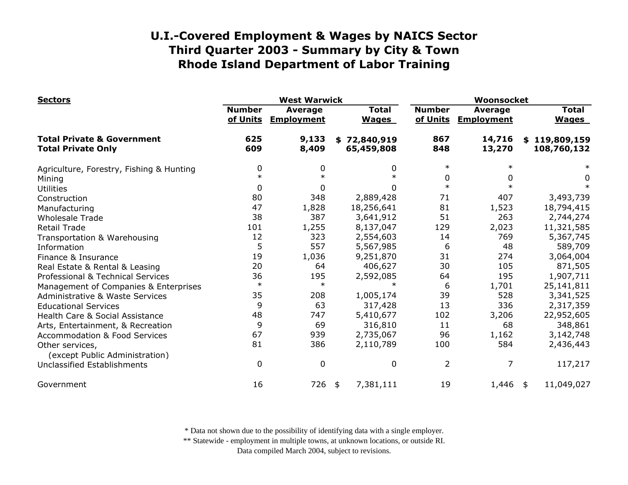| <b>Sectors</b>                                                     |                           | <b>West Warwick</b>                 |                              | Woonsocket                |                                     |                              |  |
|--------------------------------------------------------------------|---------------------------|-------------------------------------|------------------------------|---------------------------|-------------------------------------|------------------------------|--|
|                                                                    | <b>Number</b><br>of Units | <b>Average</b><br><b>Employment</b> | <b>Total</b><br><b>Wages</b> | <b>Number</b><br>of Units | <b>Average</b><br><b>Employment</b> | <b>Total</b><br><b>Wages</b> |  |
| <b>Total Private &amp; Government</b><br><b>Total Private Only</b> | 625<br>609                | 9,133<br>8,409                      | \$72,840,919<br>65,459,808   | 867<br>848                | 14,716<br>13,270                    | \$119,809,159<br>108,760,132 |  |
| Agriculture, Forestry, Fishing & Hunting                           | 0                         | 0                                   | 0                            | $\ast$                    |                                     |                              |  |
| Mining                                                             | $\ast$                    | $\ast$                              | $\ast$                       | 0                         | 0                                   | 0                            |  |
| <b>Utilities</b>                                                   | 0                         | 0                                   | 0                            | $\ast$                    |                                     |                              |  |
| Construction                                                       | 80                        | 348                                 | 2,889,428                    | 71                        | 407                                 | 3,493,739                    |  |
| Manufacturing                                                      | 47                        | 1,828                               | 18,256,641                   | 81                        | 1,523                               | 18,794,415                   |  |
| <b>Wholesale Trade</b>                                             | 38                        | 387                                 | 3,641,912                    | 51                        | 263                                 | 2,744,274                    |  |
| <b>Retail Trade</b>                                                | 101                       | 1,255                               | 8,137,047                    | 129                       | 2,023                               | 11,321,585                   |  |
| Transportation & Warehousing                                       | 12                        | 323                                 | 2,554,603                    | 14                        | 769                                 | 5,367,745                    |  |
| Information                                                        | 5                         | 557                                 | 5,567,985                    | 6                         | 48                                  | 589,709                      |  |
| Finance & Insurance                                                | 19                        | 1,036                               | 9,251,870                    | 31                        | 274                                 | 3,064,004                    |  |
| Real Estate & Rental & Leasing                                     | 20                        | 64                                  | 406,627                      | 30                        | 105                                 | 871,505                      |  |
| Professional & Technical Services                                  | 36                        | 195                                 | 2,592,085                    | 64                        | 195                                 | 1,907,711                    |  |
| Management of Companies & Enterprises                              | $\ast$                    | $\ast$                              | $\ast$                       | 6                         | 1,701                               | 25,141,811                   |  |
| <b>Administrative &amp; Waste Services</b>                         | 35                        | 208                                 | 1,005,174                    | 39                        | 528                                 | 3,341,525                    |  |
| <b>Educational Services</b>                                        | 9                         | 63                                  | 317,428                      | 13                        | 336                                 | 2,317,359                    |  |
| Health Care & Social Assistance                                    | 48                        | 747                                 | 5,410,677                    | 102                       | 3,206                               | 22,952,605                   |  |
| Arts, Entertainment, & Recreation                                  | 9                         | 69                                  | 316,810                      | 11                        | 68                                  | 348,861                      |  |
| <b>Accommodation &amp; Food Services</b>                           | 67                        | 939                                 | 2,735,067                    | 96                        | 1,162                               | 3,142,748                    |  |
| Other services,                                                    | 81                        | 386                                 | 2,110,789                    | 100                       | 584                                 | 2,436,443                    |  |
| (except Public Administration)                                     |                           |                                     |                              |                           |                                     |                              |  |
| Unclassified Establishments                                        | 0                         | 0                                   | 0                            | $\overline{2}$            | 7                                   | 117,217                      |  |
| Government                                                         | 16                        | 726                                 | 7,381,111<br>\$              | 19                        | 1,446                               | 11,049,027<br>- \$           |  |

\* Data not shown due to the possibility of identifying data with a single employer.

\*\* Statewide - employment in multiple towns, at unknown locations, or outside RI.